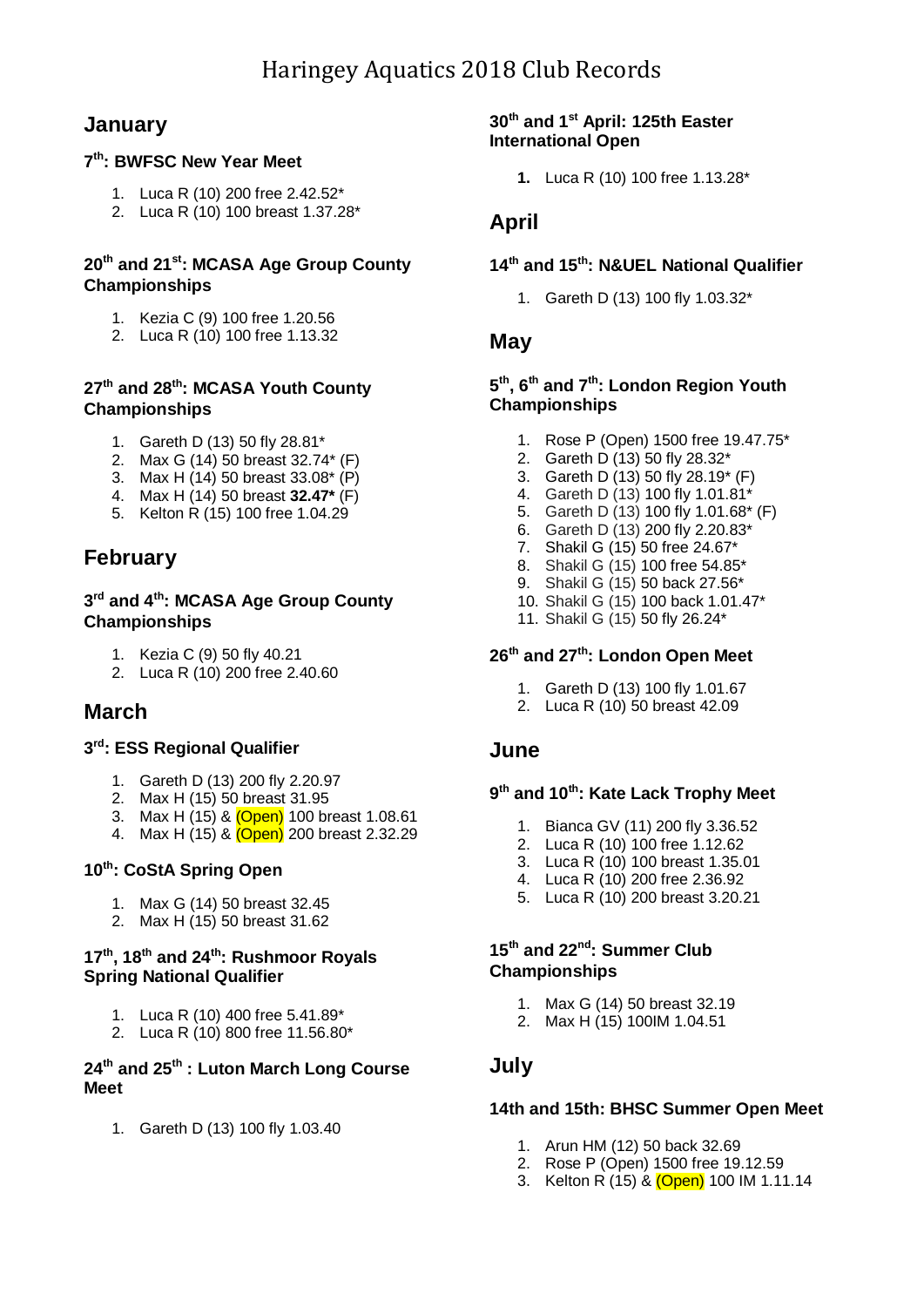## **January**

### **7 th: BWFSC New Year Meet**

- 1. Luca R (10) 200 free 2.42.52\*
- 2. Luca R (10) 100 breast 1.37.28\*

## **20th and 21st: MCASA Age Group County Championships**

- 1. Kezia C (9) 100 free 1.20.56
- 2. Luca R (10) 100 free 1.13.32

## **27th and 28th: MCASA Youth County Championships**

- 1. Gareth D (13) 50 fly 28.81\*
- 2. Max G (14) 50 breast 32.74\* (F)
- 3. Max H (14) 50 breast 33.08\* (P)
- 4. Max H (14) 50 breast **32.47\*** (F)
- 5. Kelton R (15) 100 free 1.04.29

# **February**

#### **3 rd and 4th: MCASA Age Group County Championships**

- 1. Kezia C (9) 50 fly 40.21
- 2. Luca R (10) 200 free 2.40.60

## **March**

#### **3 rd: ESS Regional Qualifier**

- 1. Gareth D (13) 200 fly 2.20.97
- 2. Max H (15) 50 breast 31.95
- 3. Max H (15) & (Open) 100 breast 1.08.61
- 4. Max H (15) & (Open) 200 breast 2.32.29

#### **10th: CoStA Spring Open**

- 1. Max G (14) 50 breast 32.45
- 2. Max H (15) 50 breast 31.62

#### **17 th, 18th and 24th: Rushmoor Royals Spring National Qualifier**

- 1. Luca R (10) 400 free 5.41.89\*
- 2. Luca R (10) 800 free 11.56.80\*

#### **24 th and 25 th : Luton March Long Course Meet**

1. Gareth D (13) 100 fly 1.03.40

#### **30th and 1st April: 125th Easter International Open**

**1.** Luca R (10) 100 free 1.13.28\*

## **April**

## **14th and 15th: N&UEL National Qualifier**

1. Gareth D (13) 100 fly 1.03.32\*

## **May**

#### **5 th , 6 th and 7 th: London Region Youth Championships**

- 1. Rose P (Open) 1500 free 19.47.75\*
- 2. Gareth D (13) 50 fly 28.32\*
- 3. Gareth D (13) 50 fly 28.19\* (F)
- 4. Gareth D (13) 100 fly 1.01.81\*
- 5. Gareth D (13) 100 fly 1.01.68\* (F)
- 6. Gareth D (13) 200 fly 2.20.83\*
- 7. Shakil G (15) 50 free 24.67\*
- 8. Shakil G (15) 100 free 54.85\*
- 9. Shakil G (15) 50 back 27.56\*
- 10. Shakil G (15) 100 back 1.01.47\*
- 11. Shakil G (15) 50 fly 26.24\*

## **26th and 27th: London Open Meet**

- 1. Gareth D (13) 100 fly 1.01.67
- 2. Luca R (10) 50 breast 42.09

## **June**

#### **9 th and 10 th: Kate Lack Trophy Meet**

- 1. Bianca GV (11) 200 fly 3.36.52
- 2. Luca R (10) 100 free 1.12.62
- 3. Luca R (10) 100 breast 1.35.01
- 4. Luca R (10) 200 free 2.36.92
- 5. Luca R (10) 200 breast 3.20.21

### **15 th and 22nd: Summer Club Championships**

- 1. Max G (14) 50 breast 32.19
- 2. Max H (15) 100IM 1.04.51

## **July**

#### **14th and 15th: BHSC Summer Open Meet**

- 1. Arun HM (12) 50 back 32.69
- 2. Rose P (Open) 1500 free 19.12.59
- 3. Kelton R (15) & (Open) 100 IM 1.11.14